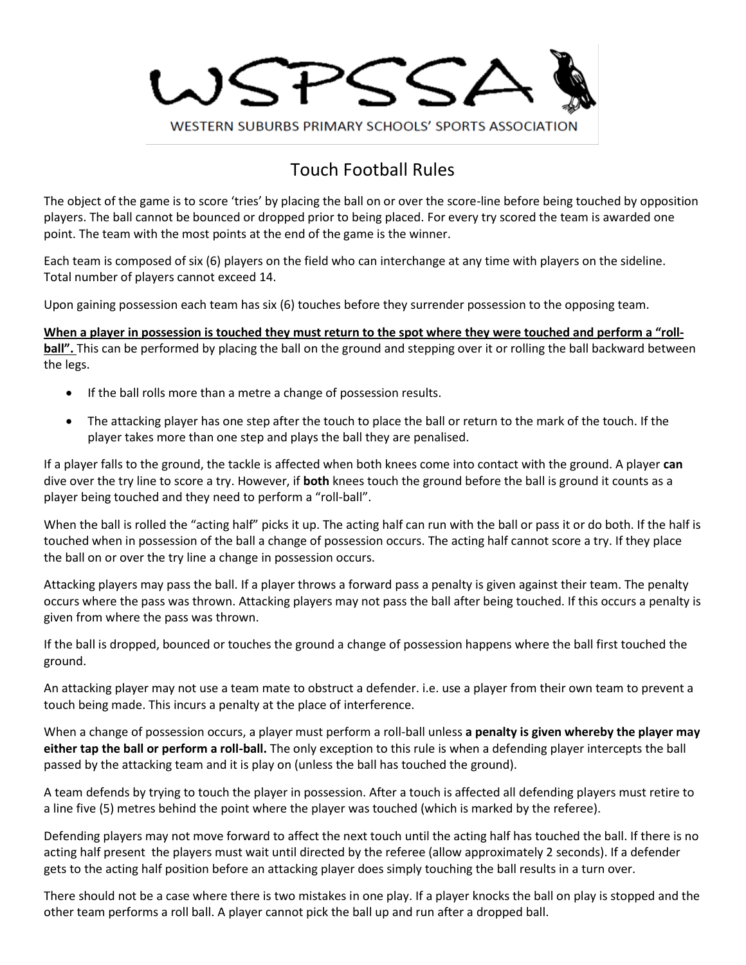

### Touch Football Rules

The object of the game is to score 'tries' by placing the ball on or over the score-line before being touched by opposition players. The ball cannot be bounced or dropped prior to being placed. For every try scored the team is awarded one point. The team with the most points at the end of the game is the winner.

Each team is composed of six (6) players on the field who can interchange at any time with players on the sideline. Total number of players cannot exceed 14.

Upon gaining possession each team has six (6) touches before they surrender possession to the opposing team.

**When a player in possession is touched they must return to the spot where they were touched and perform a "rollball".** This can be performed by placing the ball on the ground and stepping over it or rolling the ball backward between the legs.

- If the ball rolls more than a metre a change of possession results.
- The attacking player has one step after the touch to place the ball or return to the mark of the touch. If the player takes more than one step and plays the ball they are penalised.

If a player falls to the ground, the tackle is affected when both knees come into contact with the ground. A player **can** dive over the try line to score a try. However, if **both** knees touch the ground before the ball is ground it counts as a player being touched and they need to perform a "roll-ball".

When the ball is rolled the "acting half" picks it up. The acting half can run with the ball or pass it or do both. If the half is touched when in possession of the ball a change of possession occurs. The acting half cannot score a try. If they place the ball on or over the try line a change in possession occurs.

Attacking players may pass the ball. If a player throws a forward pass a penalty is given against their team. The penalty occurs where the pass was thrown. Attacking players may not pass the ball after being touched. If this occurs a penalty is given from where the pass was thrown.

If the ball is dropped, bounced or touches the ground a change of possession happens where the ball first touched the ground.

An attacking player may not use a team mate to obstruct a defender. i.e. use a player from their own team to prevent a touch being made. This incurs a penalty at the place of interference.

When a change of possession occurs, a player must perform a roll-ball unless **a penalty is given whereby the player may either tap the ball or perform a roll-ball.** The only exception to this rule is when a defending player intercepts the ball passed by the attacking team and it is play on (unless the ball has touched the ground).

A team defends by trying to touch the player in possession. After a touch is affected all defending players must retire to a line five (5) metres behind the point where the player was touched (which is marked by the referee).

Defending players may not move forward to affect the next touch until the acting half has touched the ball. If there is no acting half present the players must wait until directed by the referee (allow approximately 2 seconds). If a defender gets to the acting half position before an attacking player does simply touching the ball results in a turn over.

There should not be a case where there is two mistakes in one play. If a player knocks the ball on play is stopped and the other team performs a roll ball. A player cannot pick the ball up and run after a dropped ball.